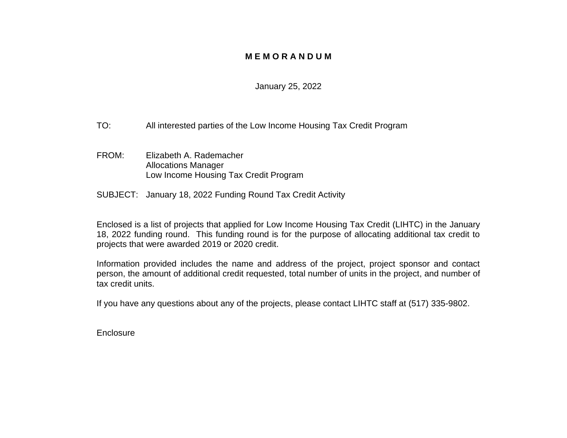#### **M E M O R A N D U M**

#### January 25, 2022

- TO: All interested parties of the Low Income Housing Tax Credit Program
- FROM: Elizabeth A. Rademacher Allocations Manager Low Income Housing Tax Credit Program
- SUBJECT: January 18, 2022 Funding Round Tax Credit Activity

Enclosed is a list of projects that applied for Low Income Housing Tax Credit (LIHTC) in the January 18, 2022 funding round. This funding round is for the purpose of allocating additional tax credit to projects that were awarded 2019 or 2020 credit.

Information provided includes the name and address of the project, project sponsor and contact person, the amount of additional credit requested, total number of units in the project, and number of tax credit units.

If you have any questions about any of the projects, please contact LIHTC staff at (517) 335-9802.

**Enclosure**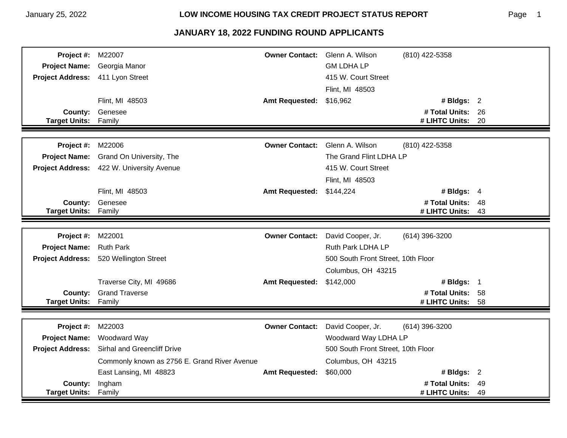#### Page 1

| Project #:              | M22007                                       | <b>Owner Contact:</b> | Glenn A. Wilson                    | (810) 422-5358    |      |
|-------------------------|----------------------------------------------|-----------------------|------------------------------------|-------------------|------|
| <b>Project Name:</b>    | Georgia Manor                                |                       | <b>GM LDHA LP</b>                  |                   |      |
| <b>Project Address:</b> | 411 Lyon Street                              |                       | 415 W. Court Street                |                   |      |
|                         |                                              |                       | Flint, MI 48503                    |                   |      |
|                         | Flint, MI 48503                              | <b>Amt Requested:</b> | \$16,962                           | # Bldgs: $2$      |      |
| <b>County:</b>          | Genesee                                      |                       |                                    | # Total Units: 26 |      |
| <b>Target Units:</b>    | Family                                       |                       |                                    | # LIHTC Units:    | - 20 |
|                         |                                              |                       |                                    |                   |      |
| Project #:              | M22006                                       | <b>Owner Contact:</b> | Glenn A. Wilson                    | (810) 422-5358    |      |
| <b>Project Name:</b>    | Grand On University, The                     |                       | The Grand Flint LDHA LP            |                   |      |
|                         | Project Address: 422 W. University Avenue    |                       | 415 W. Court Street                |                   |      |
|                         |                                              |                       | Flint, MI 48503                    |                   |      |
|                         | Flint, MI 48503                              | <b>Amt Requested:</b> | \$144,224                          | # Bldgs: $4$      |      |
| County:                 | Genesee                                      |                       |                                    | # Total Units: 48 |      |
| <b>Target Units:</b>    | Family                                       |                       |                                    | # LIHTC Units:    | 43   |
|                         |                                              |                       |                                    |                   |      |
| Project #:              | M22001                                       | <b>Owner Contact:</b> | David Cooper, Jr.                  | (614) 396-3200    |      |
| <b>Project Name:</b>    | <b>Ruth Park</b>                             |                       | Ruth Park LDHA LP                  |                   |      |
| <b>Project Address:</b> | 520 Wellington Street                        |                       | 500 South Front Street, 10th Floor |                   |      |
|                         |                                              |                       | Columbus, OH 43215                 |                   |      |
|                         | Traverse City, MI 49686                      | <b>Amt Requested:</b> | \$142,000                          | # Bldgs: 1        |      |
| County:                 | <b>Grand Traverse</b>                        |                       |                                    | # Total Units: 58 |      |
| <b>Target Units:</b>    | Family                                       |                       |                                    | # LIHTC Units:    | 58   |
|                         |                                              |                       |                                    |                   |      |
| Project #:              | M22003                                       | <b>Owner Contact:</b> | David Cooper, Jr.                  | (614) 396-3200    |      |
| <b>Project Name:</b>    | Woodward Way                                 |                       | Woodward Way LDHA LP               |                   |      |
| <b>Project Address:</b> | <b>Sirhal and Greencliff Drive</b>           |                       | 500 South Front Street, 10th Floor |                   |      |
|                         | Commonly known as 2756 E. Grand River Avenue |                       | Columbus, OH 43215                 |                   |      |
|                         | East Lansing, MI 48823                       | <b>Amt Requested:</b> | \$60,000                           | # Bldgs: $2$      |      |
| County:                 | Ingham                                       |                       |                                    | # Total Units:    | 49   |
| <b>Target Units:</b>    | Family                                       |                       |                                    | # LIHTC Units:    | 49   |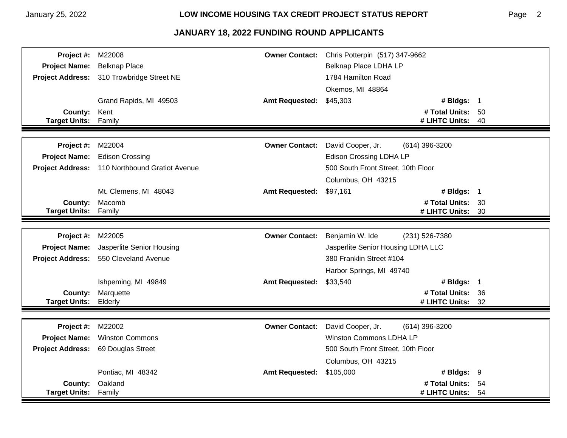| Project #:              | M22008                                         | <b>Owner Contact:</b> | Chris Potterpin (517) 347-9662      |      |
|-------------------------|------------------------------------------------|-----------------------|-------------------------------------|------|
| <b>Project Name:</b>    | <b>Belknap Place</b>                           |                       | Belknap Place LDHA LP               |      |
| <b>Project Address:</b> | 310 Trowbridge Street NE                       |                       | 1784 Hamilton Road                  |      |
|                         |                                                |                       | Okemos, MI 48864                    |      |
|                         | Grand Rapids, MI 49503                         | <b>Amt Requested:</b> | # Bldgs: 1<br>\$45,303              |      |
| County:                 | Kent                                           |                       | # Total Units: 50                   |      |
| <b>Target Units:</b>    | Family                                         |                       | # LIHTC Units:                      | - 40 |
|                         |                                                |                       |                                     |      |
| Project #:              | M22004                                         | <b>Owner Contact:</b> | David Cooper, Jr.<br>(614) 396-3200 |      |
| <b>Project Name:</b>    | <b>Edison Crossing</b>                         |                       | <b>Edison Crossing LDHA LP</b>      |      |
|                         | Project Address: 110 Northbound Gratiot Avenue |                       | 500 South Front Street, 10th Floor  |      |
|                         |                                                |                       | Columbus, OH 43215                  |      |
|                         | Mt. Clemens, MI 48043                          | <b>Amt Requested:</b> | # Bldgs: 1<br>\$97,161              |      |
| County:                 | Macomb                                         |                       | # Total Units: 30                   |      |
| <b>Target Units:</b>    | Family                                         |                       | # LIHTC Units: 30                   |      |
|                         |                                                |                       |                                     |      |
| Project #:              | M22005                                         | <b>Owner Contact:</b> | Benjamin W. Ide<br>(231) 526-7380   |      |
| <b>Project Name:</b>    | Jasperlite Senior Housing                      |                       | Jasperlite Senior Housing LDHA LLC  |      |
| <b>Project Address:</b> | 550 Cleveland Avenue                           |                       | 380 Franklin Street #104            |      |
|                         |                                                |                       | Harbor Springs, MI 49740            |      |
|                         | Ishpeming, MI 49849                            | <b>Amt Requested:</b> | # Bldgs: 1<br>\$33,540              |      |
| County:                 | Marquette                                      |                       | # Total Units: 36                   |      |
| <b>Target Units:</b>    | Elderly                                        |                       | # LIHTC Units:                      | 32   |
|                         |                                                |                       |                                     |      |
| Project #:              | M22002                                         | <b>Owner Contact:</b> | David Cooper, Jr.<br>(614) 396-3200 |      |
| <b>Project Name:</b>    | <b>Winston Commons</b>                         |                       | <b>Winston Commons LDHA LP</b>      |      |
| <b>Project Address:</b> | 69 Douglas Street                              |                       | 500 South Front Street, 10th Floor  |      |
|                         |                                                |                       | Columbus, OH 43215                  |      |
|                         | Pontiac, MI 48342                              | <b>Amt Requested:</b> | \$105,000<br># Bldgs: 9             |      |
| County:                 | Oakland                                        |                       | # Total Units: 54                   |      |
| <b>Target Units:</b>    | Family                                         |                       |                                     |      |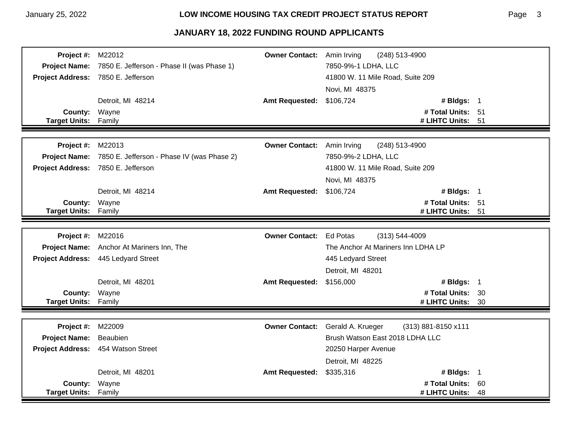#### January 25, 2022 **LOW INCOME HOUSING TAX CREDIT PROJECT STATUS REPORT**

| Project #:           | M22012                                     | <b>Owner Contact:</b> | (248) 513-4900<br>Amin Irving            |    |
|----------------------|--------------------------------------------|-----------------------|------------------------------------------|----|
| <b>Project Name:</b> | 7850 E. Jefferson - Phase II (was Phase 1) |                       | 7850-9%-1 LDHA, LLC                      |    |
|                      | Project Address: 7850 E. Jefferson         |                       | 41800 W. 11 Mile Road, Suite 209         |    |
|                      |                                            |                       | Novi, MI 48375                           |    |
|                      | Detroit, MI 48214                          | <b>Amt Requested:</b> | \$106,724<br># Bldgs: 1                  |    |
| County: Wayne        |                                            |                       | # Total Units: 51                        |    |
| <b>Target Units:</b> | Family                                     |                       | # LIHTC Units: 51                        |    |
|                      |                                            |                       |                                          |    |
| Project #:           | M22013                                     | <b>Owner Contact:</b> | Amin Irving<br>(248) 513-4900            |    |
| <b>Project Name:</b> | 7850 E. Jefferson - Phase IV (was Phase 2) |                       | 7850-9%-2 LDHA, LLC                      |    |
|                      | Project Address: 7850 E. Jefferson         |                       | 41800 W. 11 Mile Road, Suite 209         |    |
|                      |                                            |                       | Novi, MI 48375                           |    |
|                      | Detroit, MI 48214                          | <b>Amt Requested:</b> | \$106,724<br># Bldgs: $1$                |    |
| <b>County:</b>       | Wayne                                      |                       | # Total Units: 51                        |    |
| <b>Target Units:</b> | Family                                     |                       | # LIHTC Units: 51                        |    |
|                      |                                            |                       |                                          |    |
|                      |                                            |                       |                                          |    |
| Project #:           | M22016                                     | <b>Owner Contact:</b> | <b>Ed Potas</b><br>$(313) 544 - 4009$    |    |
| <b>Project Name:</b> | Anchor At Mariners Inn, The                |                       | The Anchor At Mariners Inn LDHA LP       |    |
|                      | Project Address: 445 Ledyard Street        |                       | 445 Ledyard Street                       |    |
|                      |                                            |                       | Detroit, MI 48201                        |    |
|                      | Detroit, MI 48201                          | <b>Amt Requested:</b> | # Bldgs: 1<br>\$156,000                  |    |
| County: Wayne        |                                            |                       | # Total Units: 30                        |    |
| <b>Target Units:</b> | Family                                     |                       | # LIHTC Units:                           | 30 |
|                      |                                            |                       |                                          |    |
| Project #:           | M22009                                     | <b>Owner Contact:</b> | Gerald A. Krueger<br>(313) 881-8150 x111 |    |
| <b>Project Name:</b> | Beaubien                                   |                       | Brush Watson East 2018 LDHA LLC          |    |
|                      | Project Address: 454 Watson Street         |                       | 20250 Harper Avenue                      |    |
|                      |                                            |                       | Detroit, MI 48225                        |    |
|                      | Detroit, MI 48201                          | <b>Amt Requested:</b> | # Bldgs: 1<br>\$335,316                  |    |
| County:              | Wayne                                      |                       | # Total Units:                           | 60 |